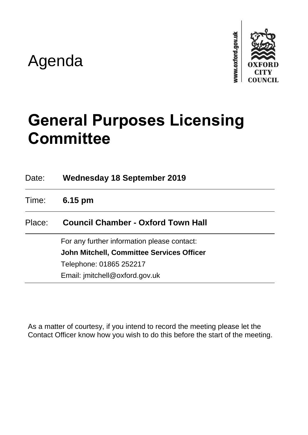# Agenda



# **General Purposes Licensing Committee**

| Date:  | <b>Wednesday 18 September 2019</b>               |
|--------|--------------------------------------------------|
| Time:  | $6.15 \text{ pm}$                                |
| Place: | <b>Council Chamber - Oxford Town Hall</b>        |
|        | For any further information please contact:      |
|        | <b>John Mitchell, Committee Services Officer</b> |
|        | Telephone: 01865 252217                          |
|        | Email: jmitchell@oxford.gov.uk                   |

As a matter of courtesy, if you intend to record the meeting please let the Contact Officer know how you wish to do this before the start of the meeting.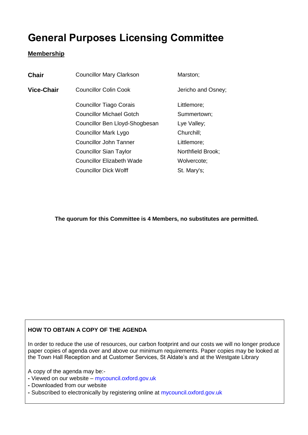# **General Purposes Licensing Committee**

### **Membership**

| <b>Chair</b> | <b>Councillor Mary Clarkson</b> | Marston;           |
|--------------|---------------------------------|--------------------|
| Vice-Chair   | <b>Councillor Colin Cook</b>    | Jericho and Osney; |
|              | <b>Councillor Tiago Corais</b>  | Littlemore;        |
|              | <b>Councillor Michael Gotch</b> | Summertown;        |
|              | Councillor Ben Lloyd-Shogbesan  | Lye Valley;        |
|              | <b>Councillor Mark Lygo</b>     | Churchill;         |
|              | <b>Councillor John Tanner</b>   | Littlemore;        |
|              | <b>Councillor Sian Taylor</b>   | Northfield Brook;  |
|              | Councillor Elizabeth Wade       | Wolvercote;        |
|              | <b>Councillor Dick Wolff</b>    | St. Mary's;        |
|              |                                 |                    |

**The quorum for this Committee is 4 Members, no substitutes are permitted.**

# **HOW TO OBTAIN A COPY OF THE AGENDA**

In order to reduce the use of resources, our carbon footprint and our costs we will no longer produce paper copies of agenda over and above our minimum requirements. Paper copies may be looked at the Town Hall Reception and at Customer Services, St Aldate's and at the Westgate Library

A copy of the agenda may be:-

**-** Viewed on our website – mycouncil.oxford.gov.uk

**-** Downloaded from our website

**-** Subscribed to electronically by registering online at mycouncil.oxford.gov.uk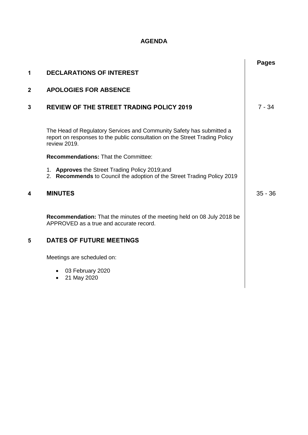## **AGENDA**

|                |                                                                                                                                                                     | <b>Pages</b> |
|----------------|---------------------------------------------------------------------------------------------------------------------------------------------------------------------|--------------|
| 1              | <b>DECLARATIONS OF INTEREST</b>                                                                                                                                     |              |
| $\overline{2}$ | <b>APOLOGIES FOR ABSENCE</b>                                                                                                                                        |              |
| 3              | <b>REVIEW OF THE STREET TRADING POLICY 2019</b>                                                                                                                     | $7 - 34$     |
|                | The Head of Regulatory Services and Community Safety has submitted a<br>report on responses to the public consultation on the Street Trading Policy<br>review 2019. |              |
|                | <b>Recommendations: That the Committee:</b>                                                                                                                         |              |
|                | 1. Approves the Street Trading Policy 2019;and<br>2. Recommends to Council the adoption of the Street Trading Policy 2019                                           |              |
| 4              | <b>MINUTES</b>                                                                                                                                                      | $35 - 36$    |
|                | Recommendation: That the minutes of the meeting held on 08 July 2018 be<br>APPROVED as a true and accurate record.                                                  |              |
| 5              | <b>DATES OF FUTURE MEETINGS</b>                                                                                                                                     |              |
|                | Meetings are scheduled on:                                                                                                                                          |              |
|                | • 03 February 2020<br>21 May 2020<br>$\bullet$                                                                                                                      |              |
|                |                                                                                                                                                                     |              |